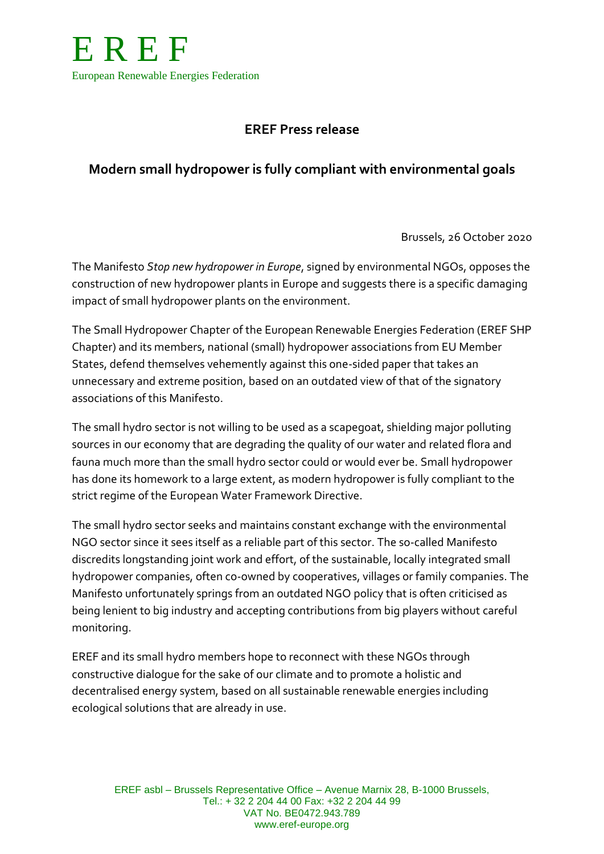

# **EREF Press release**

## **Modern small hydropower is fully compliant with environmental goals**

Brussels, 26 October 2020

The Manifesto *Stop new hydropower in Europe*, signed by environmental NGOs, opposes the construction of new hydropower plants in Europe and suggests there is a specific damaging impact of small hydropower plants on the environment.

The Small Hydropower Chapter of the European Renewable Energies Federation (EREF SHP Chapter) and its members, national (small) hydropower associations from EU Member States, defend themselves vehemently against this one-sided paper that takes an unnecessary and extreme position, based on an outdated view of that of the signatory associations of this Manifesto.

The small hydro sector is not willing to be used as a scapegoat, shielding major polluting sources in our economy that are degrading the quality of our water and related flora and fauna much more than the small hydro sector could or would ever be. Small hydropower has done its homework to a large extent, as modern hydropower is fully compliant to the strict regime of the European Water Framework Directive.

The small hydro sector seeks and maintains constant exchange with the environmental NGO sector since it sees itself as a reliable part of this sector. The so-called Manifesto discredits longstanding joint work and effort, of the sustainable, locally integrated small hydropower companies, often co-owned by cooperatives, villages or family companies. The Manifesto unfortunately springs from an outdated NGO policy that is often criticised as being lenient to big industry and accepting contributions from big players without careful monitoring.

EREF and its small hydro members hope to reconnect with these NGOs through constructive dialogue for the sake of our climate and to promote a holistic and decentralised energy system, based on all sustainable renewable energies including ecological solutions that are already in use.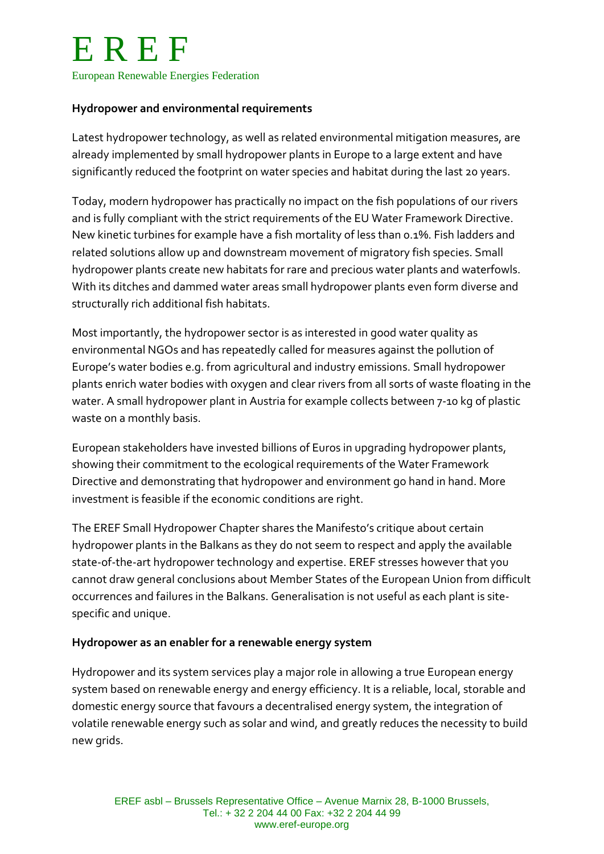### **Hydropower and environmental requirements**

Latest hydropower technology, as well as related environmental mitigation measures, are already implemented by small hydropower plants in Europe to a large extent and have significantly reduced the footprint on water species and habitat during the last 20 years.

Today, modern hydropower has practically no impact on the fish populations of our rivers and is fully compliant with the strict requirements of the EU Water Framework Directive. New kinetic turbines for example have a fish mortality of less than 0.1%. Fish ladders and related solutions allow up and downstream movement of migratory fish species. Small hydropower plants create new habitats for rare and precious water plants and waterfowls. With its ditches and dammed water areas small hydropower plants even form diverse and structurally rich additional fish habitats.

Most importantly, the hydropower sector is as interested in good water quality as environmental NGOs and has repeatedly called for measures against the pollution of Europe's water bodies e.g. from agricultural and industry emissions. Small hydropower plants enrich water bodies with oxygen and clear rivers from all sorts of waste floating in the water. A small hydropower plant in Austria for example collects between 7-10 kg of plastic waste on a monthly basis.

European stakeholders have invested billions of Euros in upgrading hydropower plants, showing their commitment to the ecological requirements of the Water Framework Directive and demonstrating that hydropower and environment go hand in hand. More investment is feasible if the economic conditions are right.

The EREF Small Hydropower Chapter shares the Manifesto's critique about certain hydropower plants in the Balkans as they do not seem to respect and apply the available state-of-the-art hydropower technology and expertise. EREF stresses however that you cannot draw general conclusions about Member States of the European Union from difficult occurrences and failures in the Balkans. Generalisation is not useful as each plant is sitespecific and unique.

#### **Hydropower as an enabler for a renewable energy system**

Hydropower and its system services play a major role in allowing a true European energy system based on renewable energy and energy efficiency. It is a reliable, local, storable and domestic energy source that favours a decentralised energy system, the integration of volatile renewable energy such as solar and wind, and greatly reduces the necessity to build new grids.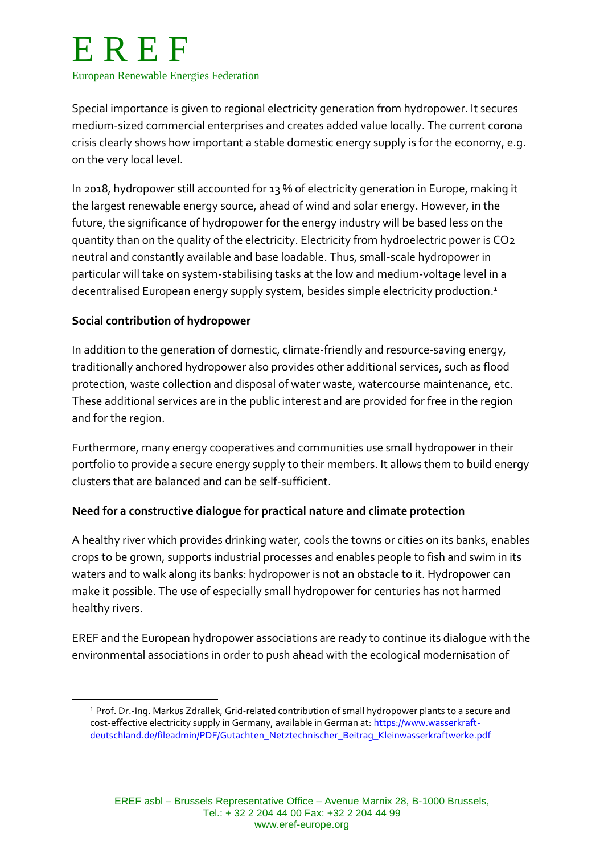# E R E F European Renewable Energies Federation

Special importance is given to regional electricity generation from hydropower. It secures medium-sized commercial enterprises and creates added value locally. The current corona crisis clearly shows how important a stable domestic energy supply is for the economy, e.g. on the very local level.

In 2018, hydropower still accounted for 13 % of electricity generation in Europe, making it the largest renewable energy source, ahead of wind and solar energy. However, in the future, the significance of hydropower for the energy industry will be based less on the quantity than on the quality of the electricity. Electricity from hydroelectric power is CO2 neutral and constantly available and base loadable. Thus, small-scale hydropower in particular will take on system-stabilising tasks at the low and medium-voltage level in a decentralised European energy supply system, besides simple electricity production. 1

## **Social contribution of hydropower**

 $\overline{a}$ 

In addition to the generation of domestic, climate-friendly and resource-saving energy, traditionally anchored hydropower also provides other additional services, such as flood protection, waste collection and disposal of water waste, watercourse maintenance, etc. These additional services are in the public interest and are provided for free in the region and for the region.

Furthermore, many energy cooperatives and communities use small hydropower in their portfolio to provide a secure energy supply to their members. It allows them to build energy clusters that are balanced and can be self-sufficient.

## **Need for a constructive dialogue for practical nature and climate protection**

A healthy river which provides drinking water, cools the towns or cities on its banks, enables crops to be grown, supports industrial processes and enables people to fish and swim in its waters and to walk along its banks: hydropower is not an obstacle to it. Hydropower can make it possible. The use of especially small hydropower for centuries has not harmed healthy rivers.

EREF and the European hydropower associations are ready to continue its dialogue with the environmental associations in order to push ahead with the ecological modernisation of

<sup>1</sup> Prof. Dr.-Ing. Markus Zdrallek, Grid-related contribution of small hydropower plants to a secure and cost-effective electricity supply in Germany, available in German at[: https://www.wasserkraft](https://www.wasserkraft-deutschland.de/fileadmin/PDF/Gutachten_Netztechnischer_Beitrag_Kleinwasserkraftwerke.pdf)[deutschland.de/fileadmin/PDF/Gutachten\\_Netztechnischer\\_Beitrag\\_Kleinwasserkraftwerke.pdf](https://www.wasserkraft-deutschland.de/fileadmin/PDF/Gutachten_Netztechnischer_Beitrag_Kleinwasserkraftwerke.pdf)